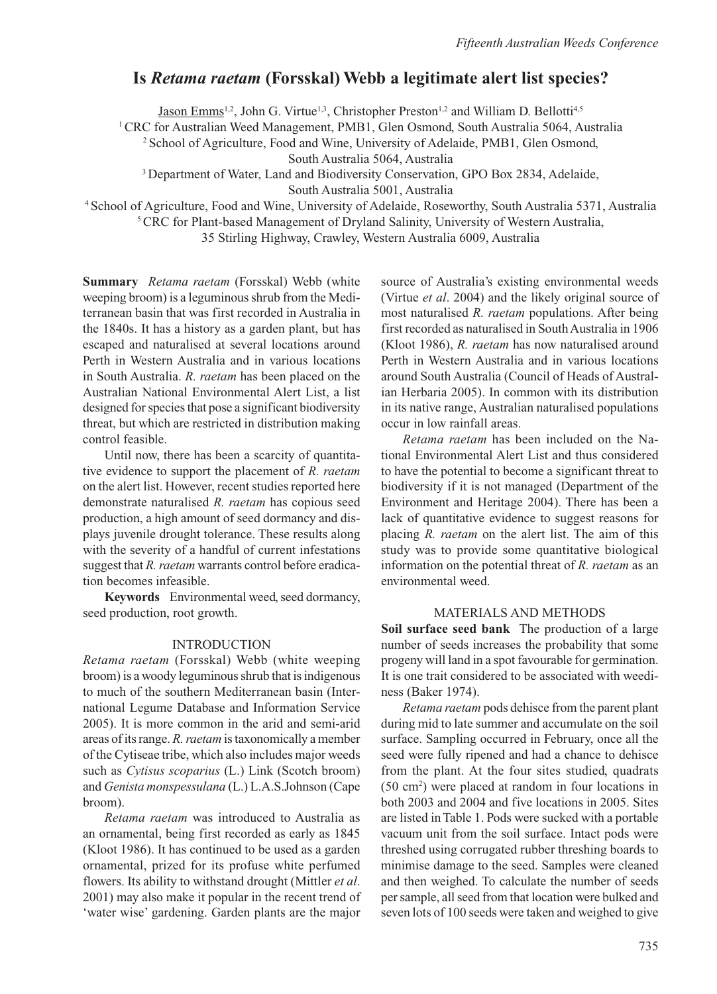# **Is** *Retama raetam* **(Forsskal) Webb a legitimate alert list species?**

Jason Emms<sup>1,2</sup>, John G. Virtue<sup>1,3</sup>, Christopher Preston<sup>1,2</sup> and William D. Bellotti<sup>4,5</sup>

1 CRC for Australian Weed Management, PMB1, Glen Osmond, South Australia 5064, Australia

2 School of Agriculture, Food and Wine, University of Adelaide, PMB1, Glen Osmond,

South Australia 5064, Australia

3 Department of Water, Land and Biodiversity Conservation, GPO Box 2834, Adelaide,

South Australia 5001, Australia

4 School of Agriculture, Food and Wine, University of Adelaide, Roseworthy, South Australia 5371, Australia

<sup>5</sup> CRC for Plant-based Management of Dryland Salinity, University of Western Australia,

35 Stirling Highway, Crawley, Western Australia 6009, Australia

**Summary** *Retama raetam* (Forsskal) Webb ( white weeping broom) is a leguminous shrub from the Mediterranean basin that was first recorded in Australia in the 1840s. It has a history as a garden plant, but has escaped and naturalised at several locations around Perth in Western Australia and in various locations in South Australia. *R. raetam* has been placed on the Australian National Environmental Alert List, a list designed for species that pose a significant biodiversity threat, but which are restricted in distribution making control feasible.

Until now, there has been a scarcity of quantitative evidence to support the placement of *R. raetam* on the alert list. However, recent studies reported here demonstrate naturalised *R. raetam* has copious seed production, a high amount of seed dormancy and displays juvenile drought tolerance. These results along with the severity of a handful of current infestations suggest that *R. raetam* warrants control before eradication becomes infeasible.

**Keywords** Environmental weed, seed dormancy, seed production, root growth.

#### INTRODUCTION

*Retama raetam* (Forsskal) Webb (white weeping broom) is a woody leguminous shrub that is indigenous to much of the southern Mediterranean basin (International Legume Database and Information Service 2005). It is more common in the arid and semi-arid areas of its range. *R. raetam* is taxonomically a member of the Cytiseae tribe, which also includes major weeds such as *Cytisus scoparius* (L.) Link (Scotch broom) and *Genista monspessulana* (L.) L.A.S.Johnson (Cape broom).

*Retama raetam* was introduced to Australia as an ornamental, being first recorded as early as 1845 (Kloot 1986). It has continued to be used as a garden ornamental, prized for its profuse white perfumed flowers. Its ability to withstand drought (Mittler *et al*. 2001) may also make it popular in the recent trend of 'water wise' gardening. Garden plants are the major

source of Australia's existing environmental weeds (Virtue *et al*. 2004) and the likely original source of most naturalised *R. raetam* populations. After being first recorded as naturalised in South Australia in 1906 (Kloot 1986), *R. raetam* has now naturalised around Perth in Western Australia and in various locations around South Australia (Council of Heads of Australian Herbaria 2005). In common with its distribution in its native range, Australian naturalised populations occur in low rainfall areas.

*Retama raetam* has been included on the National Environmental Alert List and thus considered to have the potential to become a significant threat to biodiversity if it is not managed (Department of the Environment and Heritage 2004). There has been a lack of quantitative evidence to suggest reasons for placing *R. raetam* on the alert list. The aim of this study was to provide some quantitative biological information on the potential threat of *R. raetam* as an environmental weed.

#### MATERIALS AND METHODS

**Soil surface seed bank** The production of a large number of seeds increases the probability that some progeny will land in a spot favourable for germination. It is one trait considered to be associated with weediness (Baker 1974).

*Retama raetam* pods dehisce from the parent plant during mid to late summer and accumulate on the soil surface. Sampling occurred in February, once all the seed were fully ripened and had a chance to dehisce from the plant. At the four sites studied, quadrats (50 cm2 ) were placed at random in four locations in both 2003 and 2004 and five locations in 2005. Sites are listed in Table 1. Pods were sucked with a portable vacuum unit from the soil surface. Intact pods were threshed using corrugated rubber threshing boards to minimise damage to the seed. Samples were cleaned and then weighed. To calculate the number of seeds per sample, all seed from that location were bulked and seven lots of 100 seeds were taken and weighed to give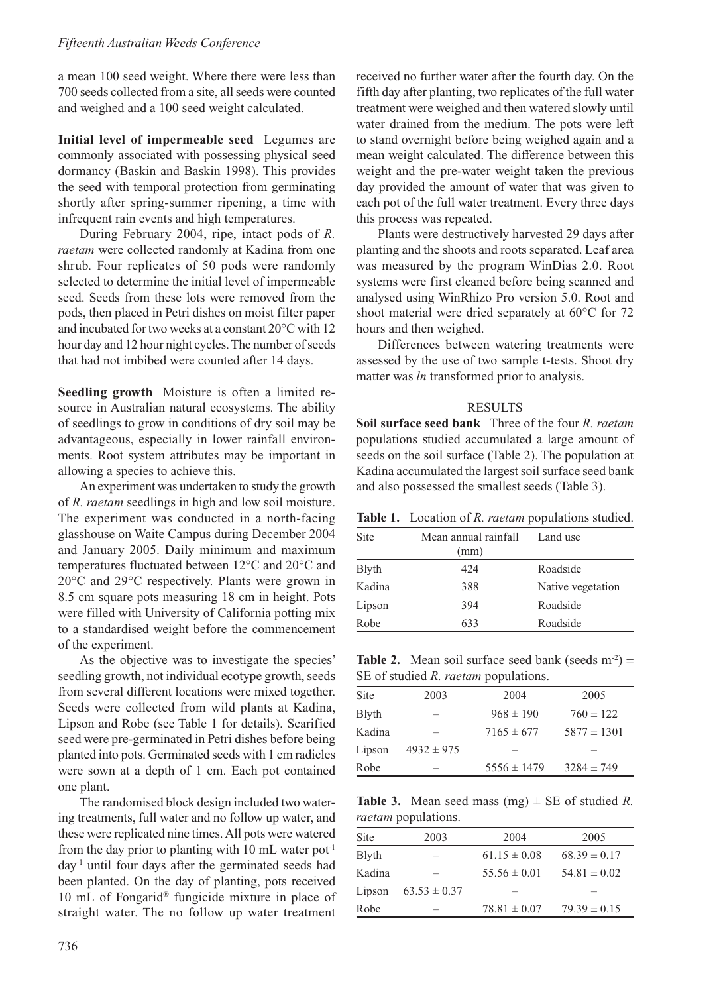a mean 100 seed weight. Where there were less than 700 seeds collected from a site, all seeds were counted and weighed and a 100 seed weight calculated.

**Initial level of impermeable seed** Legumes are commonly associated with possessing physical seed dormancy (Baskin and Baskin 1998). This provides the seed with temporal protection from germinating shortly after spring-summer ripening, a time with infrequent rain events and high temperatures.

During February 2004, ripe, intact pods of *R. raetam* were collected randomly at Kadina from one shrub. Four replicates of 50 pods were randomly selected to determine the initial level of impermeable seed. Seeds from these lots were removed from the pods, then placed in Petri dishes on moist filter paper and incubated for two weeks at a constant 20°C with 12 hour day and 12 hour night cycles. The number of seeds that had not imbibed were counted after 14 days.

**Seedling growth** Moisture is often a limited resource in Australian natural ecosystems. The ability of seedlings to grow in conditions of dry soil may be advantageous, especially in lower rainfall environments. Root system attributes may be important in allowing a species to achieve this.

An experiment was undertaken to study the growth of *R. raetam* seedlings in high and low soil moisture. The experiment was conducted in a north-facing glasshouse on Waite Campus during December 2004 and January 2005. Daily minimum and maximum temperatures fluctuated between 12°C and 20°C and 20°C and 29°C respectively. Plants were grown in 8.5 cm square pots measuring 18 cm in height. Pots were filled with University of California potting mix to a standardised weight before the commencement of the experiment.

As the objective was to investigate the species' seedling growth, not individual ecotype growth, seeds from several different locations were mixed together. Seeds were collected from wild plants at Kadina, Lipson and Robe (see Table 1 for details). Scarified seed were pre-germinated in Petri dishes before being planted into pots. Germinated seeds with 1 cm radicles were sown at a depth of 1 cm. Each pot contained one plant.

The randomised block design included two watering treatments, full water and no follow up water, and these were replicated nine times. All pots were watered from the day prior to planting with 10 mL water  $pot<sup>-1</sup>$ day-1 until four days after the germinated seeds had been planted. On the day of planting, pots received 10 mL of Fongarid® fungicide mixture in place of straight water. The no follow up water treatment received no further water after the fourth day. On the fifth day after planting, two replicates of the full water treatment were weighed and then watered slowly until water drained from the medium. The pots were left to stand overnight before being weighed again and a mean weight calculated. The difference between this weight and the pre-water weight taken the previous day provided the amount of water that was given to each pot of the full water treatment. Every three days this process was repeated.

Plants were destructively harvested 29 days after planting and the shoots and roots separated. Leaf area was measured by the program WinDias 2.0. Root systems were first cleaned before being scanned and analysed using WinRhizo Pro version 5.0. Root and shoot material were dried separately at 60°C for 72 hours and then weighed.

Differences between watering treatments were assessed by the use of two sample t-tests. Shoot dry matter was *ln* transformed prior to analysis.

#### RESULTS

**Soil surface seed bank** Three of the four *R. raetam* populations studied accumulated a large amount of seeds on the soil surface (Table 2). The population at Kadina accumulated the largest soil surface seed bank and also possessed the smallest seeds (Table 3).

|  |  | Table 1. Location of R. raetam populations studied. |  |
|--|--|-----------------------------------------------------|--|
|--|--|-----------------------------------------------------|--|

| Site          | Mean annual rainfall<br>(mm) | Land use          |
|---------------|------------------------------|-------------------|
| <b>B</b> lyth | 424                          | Roadside          |
| Kadina        | 388                          | Native vegetation |
| Lipson        | 394                          | Roadside          |
| Robe          | 633                          | Roadside          |

**Table 2.** Mean soil surface seed bank (seeds  $m^{-2}$ )  $\pm$ SE of studied *R. raetam* populations.

| Site          | 2003                     | 2004            | 2005            |
|---------------|--------------------------|-----------------|-----------------|
| <b>B</b> lyth | $\overline{\phantom{a}}$ | $968 \pm 190$   | $760 \pm 122$   |
| Kadina        | $\overline{\phantom{a}}$ | $7165 \pm 677$  | $5877 \pm 1301$ |
| Lipson        | $4932 \pm 975$           |                 |                 |
| Robe          | -                        | $5556 \pm 1479$ | $3284 \pm 749$  |

**Table 3.** Mean seed mass (mg)  $\pm$  SE of studied *R*. *raetam* populations.

| Site          | 2003             | 2004             | 2005             |
|---------------|------------------|------------------|------------------|
| <b>B</b> lyth | -                | $61.15 \pm 0.08$ | $68.39 \pm 0.17$ |
| Kadina        | -                | $55.56 \pm 0.01$ | $54.81 \pm 0.02$ |
| Lipson        | $63.53 \pm 0.37$ | -                |                  |
| Robe          | -                | $78.81 \pm 0.07$ | $79.39 \pm 0.15$ |
|               |                  |                  |                  |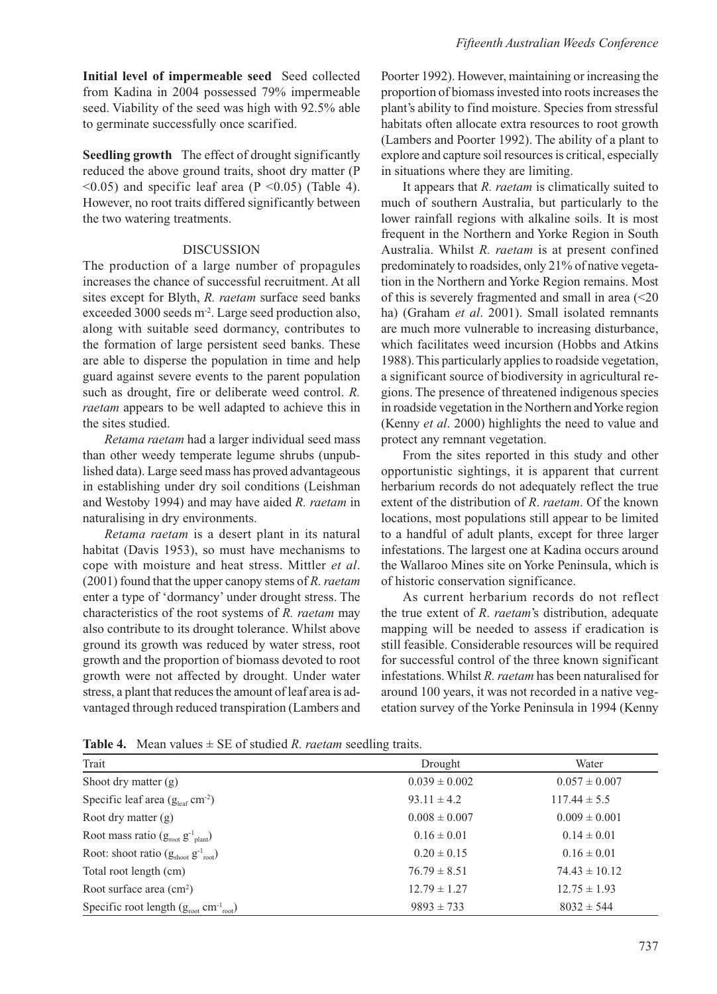**Seedling growth** The effect of drought significantly reduced the above ground traits, shoot dry matter (P  $\leq$ 0.05) and specific leaf area (P $\leq$ 0.05) (Table 4). However, no root traits differed significantly between the two watering treatments.

### **DISCUSSION**

The production of a large number of propagules increases the chance of successful recruitment. At all sites except for Blyth, *R. raetam* surface seed banks exceeded 3000 seeds m<sup>-2</sup>. Large seed production also, along with suitable seed dormancy, contributes to the formation of large persistent seed banks. These are able to disperse the population in time and help guard against severe events to the parent population such as drought, fire or deliberate weed control. *R. raetam* appears to be well adapted to achieve this in the sites studied.

*Retama raetam* had a larger individual seed mass than other weedy temperate legume shrubs (unpublished data). Large seed mass has proved advantageous in establishing under dry soil conditions (Leishman and Westoby 1994) and may have aided *R. raetam* in naturalising in dry environments.

*Retama raetam* is a desert plant in its natural habitat (Davis 1953), so must have mechanisms to cope with moisture and heat stress. Mittler *et al*. (2001) found that the upper canopy stems of *R. raetam* enter a type of 'dormancy' under drought stress. The characteristics of the root systems of *R. raetam* may also contribute to its drought tolerance. Whilst above ground its growth was reduced by water stress, root growth and the proportion of biomass devoted to root growth were not affected by drought. Under water stress, a plant that reduces the amount of leaf area is advantaged through reduced transpiration (Lambers and

Poorter 1992). However, maintaining or increasing the proportion of biomass invested into roots increases the plant's ability to find moisture. Species from stressful habitats often allocate extra resources to root growth (Lambers and Poorter 1992). The ability of a plant to explore and capture soil resources is critical, especially in situations where they are limiting.

It appears that *R. raetam* is climatically suited to much of southern Australia, but particularly to the lower rainfall regions with alkaline soils. It is most frequent in the Northern and Yorke Region in South Australia. Whilst *R. raetam* is at present confined predominately to roadsides, only 21% of native vegetation in the Northern and Yorke Region remains. Most of this is severely fragmented and small in area (<20 ha) (Graham *et al*. 2001). Small isolated remnants are much more vulnerable to increasing disturbance, which facilitates weed incursion (Hobbs and Atkins 1988). This particularly applies to roadside vegetation, a significant source of biodiversity in agricultural regions. The presence of threatened indigenous species in roadside vegetation in the Northern and Yorke region (Kenny *et al*. 2000) highlights the need to value and protect any remnant vegetation.

From the sites reported in this study and other opportunistic sightings, it is apparent that current herbarium records do not adequately reflect the true extent of the distribution of *R*. *raetam*. Of the known locations, most populations still appear to be limited to a handful of adult plants, except for three larger infestations. The largest one at Kadina occurs around the Wallaroo Mines site on Yorke Peninsula, which is of historic conservation significance.

As current herbarium records do not reflect the true extent of *R*. *raetam*'s distribution, adequate mapping will be needed to assess if eradication is still feasible. Considerable resources will be required for successful control of the three known significant infestations. Whilst *R. raetam* has been naturalised for around 100 years, it was not recorded in a native vegetation survey of the Yorke Peninsula in 1994 (Kenny

**Table 4.** Mean values  $\pm$  SE of studied *R. raetam* seedling traits.

| Trait                                                                    | Drought           | Water             |
|--------------------------------------------------------------------------|-------------------|-------------------|
| Shoot dry matter $(g)$                                                   | $0.039 \pm 0.002$ | $0.057 \pm 0.007$ |
| Specific leaf area $(g_{\text{leaf}} \text{ cm}^{-2})$                   | $93.11 \pm 4.2$   | $117.44 \pm 5.5$  |
| Root dry matter $(g)$                                                    | $0.008 \pm 0.007$ | $0.009 \pm 0.001$ |
| Root mass ratio $(g_{\text{root}} g_{\text{-\text{plant}}})$             | $0.16 \pm 0.01$   | $0.14 \pm 0.01$   |
| Root: shoot ratio $(gshoot g-1root)$                                     | $0.20 \pm 0.15$   | $0.16 \pm 0.01$   |
| Total root length (cm)                                                   | $76.79 \pm 8.51$  | $74.43 \pm 10.12$ |
| Root surface area $(cm2)$                                                | $12.79 \pm 1.27$  | $12.75 \pm 1.93$  |
| Specific root length $(g_{\text{root}} \text{ cm}^{-1}{}_{\text{root}})$ | $9893 \pm 733$    | $8032 \pm 544$    |